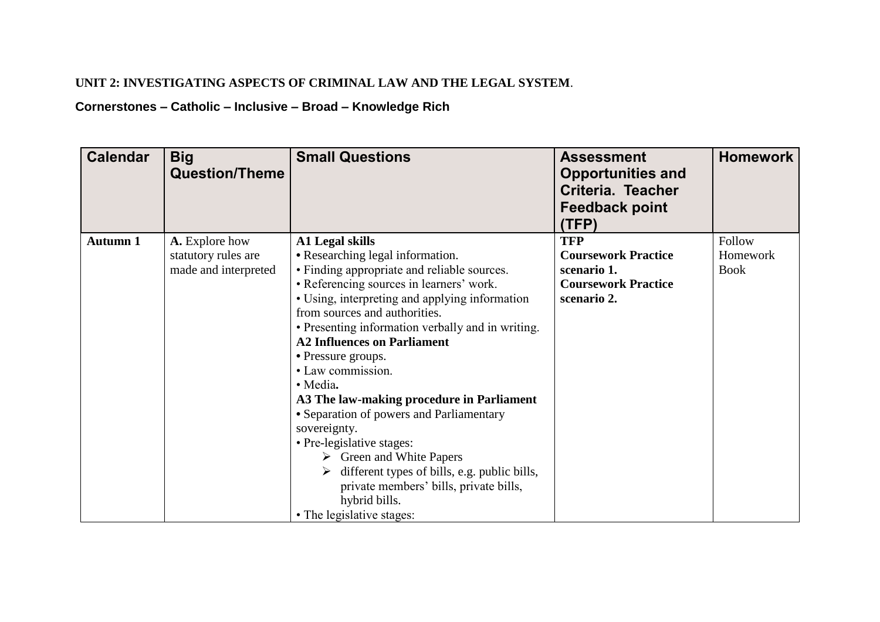## **UNIT 2: INVESTIGATING ASPECTS OF CRIMINAL LAW AND THE LEGAL SYSTEM**.

## **Cornerstones – Catholic – Inclusive – Broad – Knowledge Rich**

| <b>Calendar</b> | <b>Big</b><br><b>Question/Theme</b> | <b>Small Questions</b>                                                                                   | <b>Assessment</b><br><b>Opportunities and</b><br>Criteria. Teacher<br><b>Feedback point</b><br>(TFP) | <b>Homework</b> |
|-----------------|-------------------------------------|----------------------------------------------------------------------------------------------------------|------------------------------------------------------------------------------------------------------|-----------------|
| <b>Autumn 1</b> | A. Explore how                      | <b>A1 Legal skills</b>                                                                                   | <b>TFP</b>                                                                                           | Follow          |
|                 | statutory rules are                 | • Researching legal information.                                                                         | <b>Coursework Practice</b>                                                                           | Homework        |
|                 | made and interpreted                | • Finding appropriate and reliable sources.                                                              | scenario 1.                                                                                          | <b>Book</b>     |
|                 |                                     | • Referencing sources in learners' work.<br>• Using, interpreting and applying information               | <b>Coursework Practice</b><br>scenario 2.                                                            |                 |
|                 |                                     | from sources and authorities.                                                                            |                                                                                                      |                 |
|                 |                                     | • Presenting information verbally and in writing.                                                        |                                                                                                      |                 |
|                 |                                     | <b>A2 Influences on Parliament</b>                                                                       |                                                                                                      |                 |
|                 |                                     | • Pressure groups.                                                                                       |                                                                                                      |                 |
|                 |                                     | • Law commission.                                                                                        |                                                                                                      |                 |
|                 |                                     | · Media.                                                                                                 |                                                                                                      |                 |
|                 |                                     | A3 The law-making procedure in Parliament                                                                |                                                                                                      |                 |
|                 |                                     | • Separation of powers and Parliamentary                                                                 |                                                                                                      |                 |
|                 |                                     | sovereignty.                                                                                             |                                                                                                      |                 |
|                 |                                     | • Pre-legislative stages:                                                                                |                                                                                                      |                 |
|                 |                                     | $\triangleright$ Green and White Papers<br>$\triangleright$ different types of bills, e.g. public bills, |                                                                                                      |                 |
|                 |                                     | private members' bills, private bills,                                                                   |                                                                                                      |                 |
|                 |                                     | hybrid bills.                                                                                            |                                                                                                      |                 |
|                 |                                     | • The legislative stages:                                                                                |                                                                                                      |                 |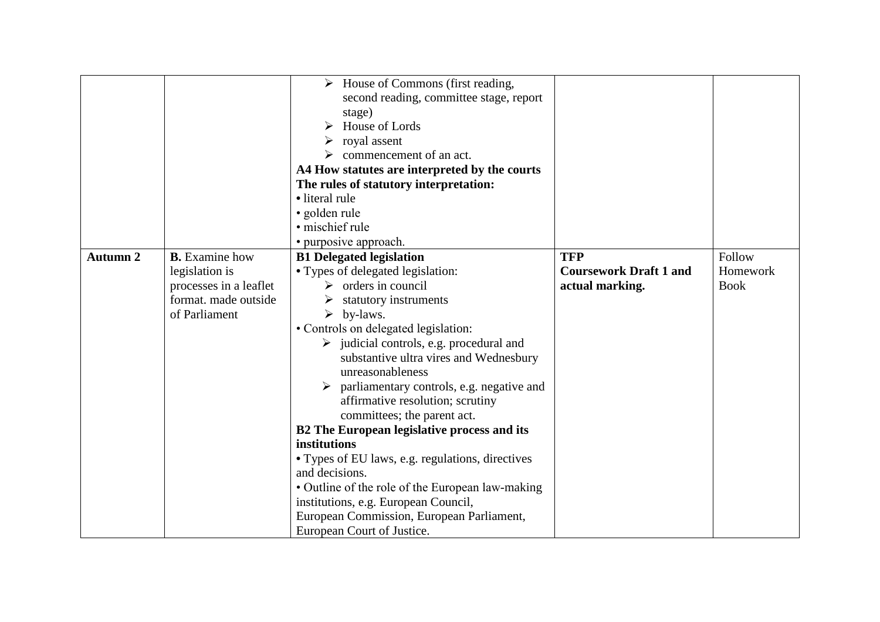|                 |                        | $\triangleright$ House of Commons (first reading,<br>second reading, committee stage, report<br>stage)<br>House of Lords<br>$\triangleright$ royal assent<br>$\triangleright$ commencement of an act. |                               |             |
|-----------------|------------------------|-------------------------------------------------------------------------------------------------------------------------------------------------------------------------------------------------------|-------------------------------|-------------|
|                 |                        | A4 How statutes are interpreted by the courts                                                                                                                                                         |                               |             |
|                 |                        | The rules of statutory interpretation:                                                                                                                                                                |                               |             |
|                 |                        | • literal rule                                                                                                                                                                                        |                               |             |
|                 |                        | · golden rule                                                                                                                                                                                         |                               |             |
|                 |                        | · mischief rule                                                                                                                                                                                       |                               |             |
|                 |                        | • purposive approach.                                                                                                                                                                                 |                               |             |
| <b>Autumn 2</b> | <b>B.</b> Examine how  | <b>B1 Delegated legislation</b>                                                                                                                                                                       | <b>TFP</b>                    | Follow      |
|                 | legislation is         | • Types of delegated legislation:                                                                                                                                                                     | <b>Coursework Draft 1 and</b> | Homework    |
|                 | processes in a leaflet | $\triangleright$ orders in council                                                                                                                                                                    | actual marking.               | <b>Book</b> |
|                 | format. made outside   | statutory instruments                                                                                                                                                                                 |                               |             |
|                 | of Parliament          | $\triangleright$ by-laws.                                                                                                                                                                             |                               |             |
|                 |                        | • Controls on delegated legislation:                                                                                                                                                                  |                               |             |
|                 |                        | $\triangleright$ judicial controls, e.g. procedural and                                                                                                                                               |                               |             |
|                 |                        | substantive ultra vires and Wednesbury                                                                                                                                                                |                               |             |
|                 |                        | unreasonableness                                                                                                                                                                                      |                               |             |
|                 |                        | $\triangleright$ parliamentary controls, e.g. negative and                                                                                                                                            |                               |             |
|                 |                        | affirmative resolution; scrutiny                                                                                                                                                                      |                               |             |
|                 |                        | committees; the parent act.                                                                                                                                                                           |                               |             |
|                 |                        | <b>B2</b> The European legislative process and its<br>institutions                                                                                                                                    |                               |             |
|                 |                        |                                                                                                                                                                                                       |                               |             |
|                 |                        | • Types of EU laws, e.g. regulations, directives<br>and decisions.                                                                                                                                    |                               |             |
|                 |                        | • Outline of the role of the European law-making                                                                                                                                                      |                               |             |
|                 |                        | institutions, e.g. European Council,                                                                                                                                                                  |                               |             |
|                 |                        | European Commission, European Parliament,                                                                                                                                                             |                               |             |
|                 |                        | European Court of Justice.                                                                                                                                                                            |                               |             |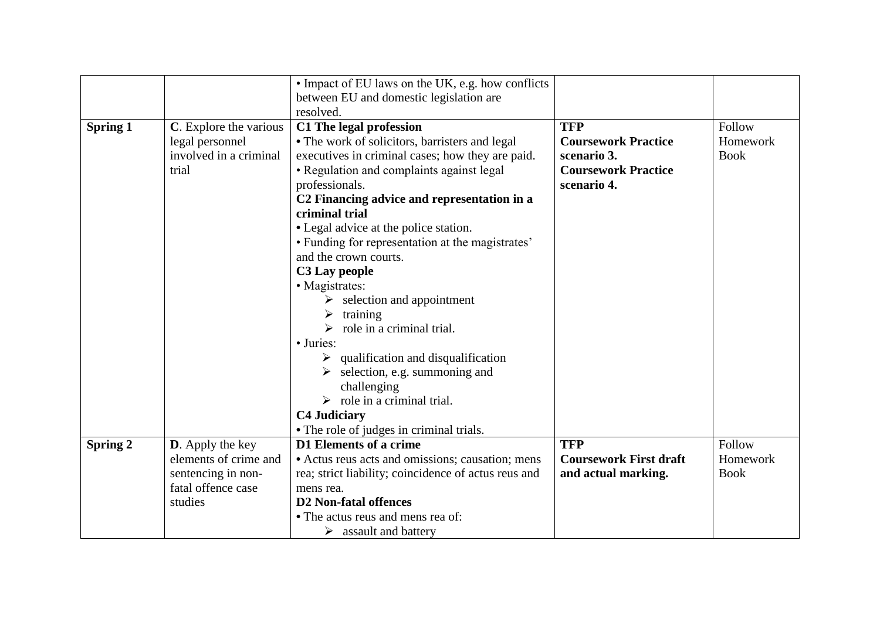|                 |                          | • Impact of EU laws on the UK, e.g. how conflicts    |                               |             |
|-----------------|--------------------------|------------------------------------------------------|-------------------------------|-------------|
|                 |                          | between EU and domestic legislation are              |                               |             |
|                 |                          | resolved.                                            |                               |             |
| <b>Spring 1</b> | C. Explore the various   | C1 The legal profession                              | <b>TFP</b>                    | Follow      |
|                 | legal personnel          | • The work of solicitors, barristers and legal       | <b>Coursework Practice</b>    | Homework    |
|                 | involved in a criminal   | executives in criminal cases; how they are paid.     | scenario 3.                   | <b>Book</b> |
|                 | trial                    | · Regulation and complaints against legal            | <b>Coursework Practice</b>    |             |
|                 |                          | professionals.                                       | scenario 4.                   |             |
|                 |                          | C2 Financing advice and representation in a          |                               |             |
|                 |                          | criminal trial                                       |                               |             |
|                 |                          | • Legal advice at the police station.                |                               |             |
|                 |                          | • Funding for representation at the magistrates'     |                               |             |
|                 |                          | and the crown courts.                                |                               |             |
|                 |                          | C3 Lay people                                        |                               |             |
|                 |                          | • Magistrates:                                       |                               |             |
|                 |                          | $\triangleright$ selection and appointment           |                               |             |
|                 |                          | $\triangleright$ training                            |                               |             |
|                 |                          | $\triangleright$ role in a criminal trial.           |                               |             |
|                 |                          | • Juries:                                            |                               |             |
|                 |                          | $\triangleright$ qualification and disqualification  |                               |             |
|                 |                          | $\triangleright$ selection, e.g. summoning and       |                               |             |
|                 |                          | challenging                                          |                               |             |
|                 |                          | $\triangleright$ role in a criminal trial.           |                               |             |
|                 |                          | <b>C4 Judiciary</b>                                  |                               |             |
|                 |                          | • The role of judges in criminal trials.             |                               |             |
| Spring 2        | <b>D</b> . Apply the key | D1 Elements of a crime                               | <b>TFP</b>                    | Follow      |
|                 | elements of crime and    | • Actus reus acts and omissions; causation; mens     | <b>Coursework First draft</b> | Homework    |
|                 | sentencing in non-       | rea; strict liability; coincidence of actus reus and | and actual marking.           | <b>Book</b> |
|                 | fatal offence case       | mens rea.                                            |                               |             |
|                 | studies                  | <b>D2</b> Non-fatal offences                         |                               |             |
|                 |                          | • The actus reus and mens rea of:                    |                               |             |
|                 |                          | $\triangleright$ assault and battery                 |                               |             |